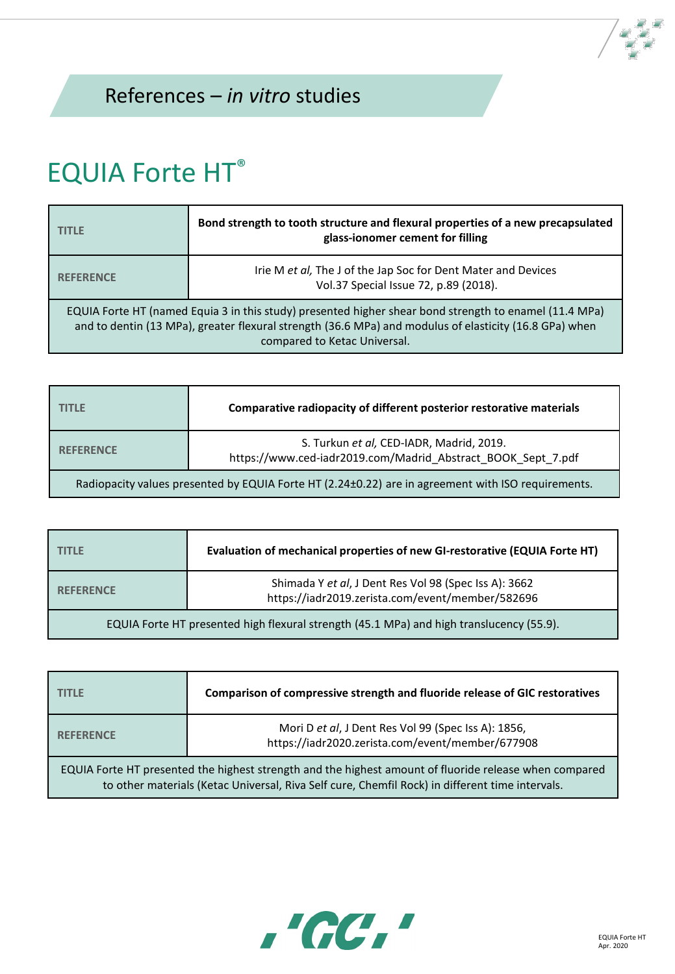## References – *in vitro* studies

## EQUIA Forte HT®

| <b>TITLE</b>                                                                                                                                                                                                                                     | Bond strength to tooth structure and flexural properties of a new precapsulated<br>glass-ionomer cement for filling |
|--------------------------------------------------------------------------------------------------------------------------------------------------------------------------------------------------------------------------------------------------|---------------------------------------------------------------------------------------------------------------------|
| <b>REFERENCE</b>                                                                                                                                                                                                                                 | Irie M et al, The J of the Jap Soc for Dent Mater and Devices<br>Vol.37 Special Issue 72, p.89 (2018).              |
| EQUIA Forte HT (named Equia 3 in this study) presented higher shear bond strength to enamel (11.4 MPa)<br>and to dentin (13 MPa), greater flexural strength (36.6 MPa) and modulus of elasticity (16.8 GPa) when<br>compared to Ketac Universal. |                                                                                                                     |

| <b>TITLE</b>                                                                                       | Comparative radiopacity of different posterior restorative materials                                     |
|----------------------------------------------------------------------------------------------------|----------------------------------------------------------------------------------------------------------|
| <b>REFERENCE</b>                                                                                   | S. Turkun et al, CED-IADR, Madrid, 2019.<br>https://www.ced-iadr2019.com/Madrid Abstract BOOK Sept 7.pdf |
| Radiopacity values presented by EQUIA Forte HT (2.24±0.22) are in agreement with ISO requirements. |                                                                                                          |

| <b>TITLE</b>                                                                             | Evaluation of mechanical properties of new GI-restorative (EQUIA Forte HT)                                |
|------------------------------------------------------------------------------------------|-----------------------------------------------------------------------------------------------------------|
| <b>REFERENCE</b>                                                                         | Shimada Y et al, J Dent Res Vol 98 (Spec Iss A): 3662<br>https://iadr2019.zerista.com/event/member/582696 |
| EQUIA Forte HT presented high flexural strength (45.1 MPa) and high translucency (55.9). |                                                                                                           |

| TITLE                                                                                                                                                                                                     | Comparison of compressive strength and fluoride release of GIC restoratives                             |
|-----------------------------------------------------------------------------------------------------------------------------------------------------------------------------------------------------------|---------------------------------------------------------------------------------------------------------|
| <b>REFERENCE</b>                                                                                                                                                                                          | Mori D et al, J Dent Res Vol 99 (Spec Iss A): 1856,<br>https://iadr2020.zerista.com/event/member/677908 |
| EQUIA Forte HT presented the highest strength and the highest amount of fluoride release when compared<br>to other materials (Ketac Universal, Riva Self cure, Chemfil Rock) in different time intervals. |                                                                                                         |

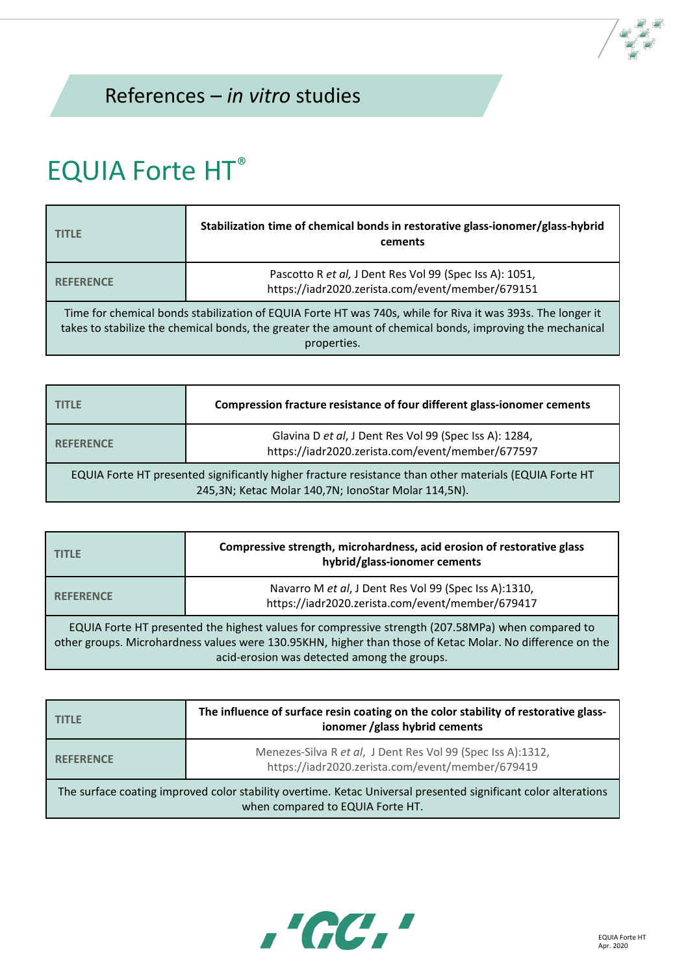## EQUIA Forte HT®

| <b>TITLE</b>                                                                                                                                                                                                                            | Stabilization time of chemical bonds in restorative glass-ionomer/glass-hybrid<br>cements                   |
|-----------------------------------------------------------------------------------------------------------------------------------------------------------------------------------------------------------------------------------------|-------------------------------------------------------------------------------------------------------------|
| <b>REFERENCE</b>                                                                                                                                                                                                                        | Pascotto R et al, J Dent Res Vol 99 (Spec Iss A): 1051,<br>https://iadr2020.zerista.com/event/member/679151 |
| Time for chemical bonds stabilization of EQUIA Forte HT was 740s, while for Riva it was 393s. The longer it<br>takes to stabilize the chemical bonds, the greater the amount of chemical bonds, improving the mechanical<br>properties. |                                                                                                             |

| <b>TITLE</b>                                                                                                                                                  | Compression fracture resistance of four different glass-ionomer cements                                    |
|---------------------------------------------------------------------------------------------------------------------------------------------------------------|------------------------------------------------------------------------------------------------------------|
| <b>REFERENCE</b>                                                                                                                                              | Glavina D et al, J Dent Res Vol 99 (Spec Iss A): 1284,<br>https://iadr2020.zerista.com/event/member/677597 |
| EQUIA Forte HT presented significantly higher fracture resistance than other materials (EQUIA Forte HT<br>245,3N; Ketac Molar 140,7N; IonoStar Molar 114,5N). |                                                                                                            |

| <b>TITLE</b>                                                                                                                                                                                                                                                  | Compressive strength, microhardness, acid erosion of restorative glass<br>hybrid/glass-ionomer cements    |
|---------------------------------------------------------------------------------------------------------------------------------------------------------------------------------------------------------------------------------------------------------------|-----------------------------------------------------------------------------------------------------------|
| <b>REFERENCE</b>                                                                                                                                                                                                                                              | Navarro M et al, J Dent Res Vol 99 (Spec Iss A):1310,<br>https://iadr2020.zerista.com/event/member/679417 |
| EQUIA Forte HT presented the highest values for compressive strength (207.58MPa) when compared to<br>other groups. Microhardness values were 130.95KHN, higher than those of Ketac Molar. No difference on the<br>acid-erosion was detected among the groups. |                                                                                                           |

| TITI F                                                                                                                                             | The influence of surface resin coating on the color stability of restorative glass-<br>ionomer /glass hybrid cements |
|----------------------------------------------------------------------------------------------------------------------------------------------------|----------------------------------------------------------------------------------------------------------------------|
| <b>REFERENCE</b>                                                                                                                                   | Menezes-Silva R et al, J Dent Res Vol 99 (Spec Iss A):1312,<br>https://iadr2020.zerista.com/event/member/679419      |
| The surface coating improved color stability overtime. Ketac Universal presented significant color alterations<br>when compared to EQUIA Forte HT. |                                                                                                                      |